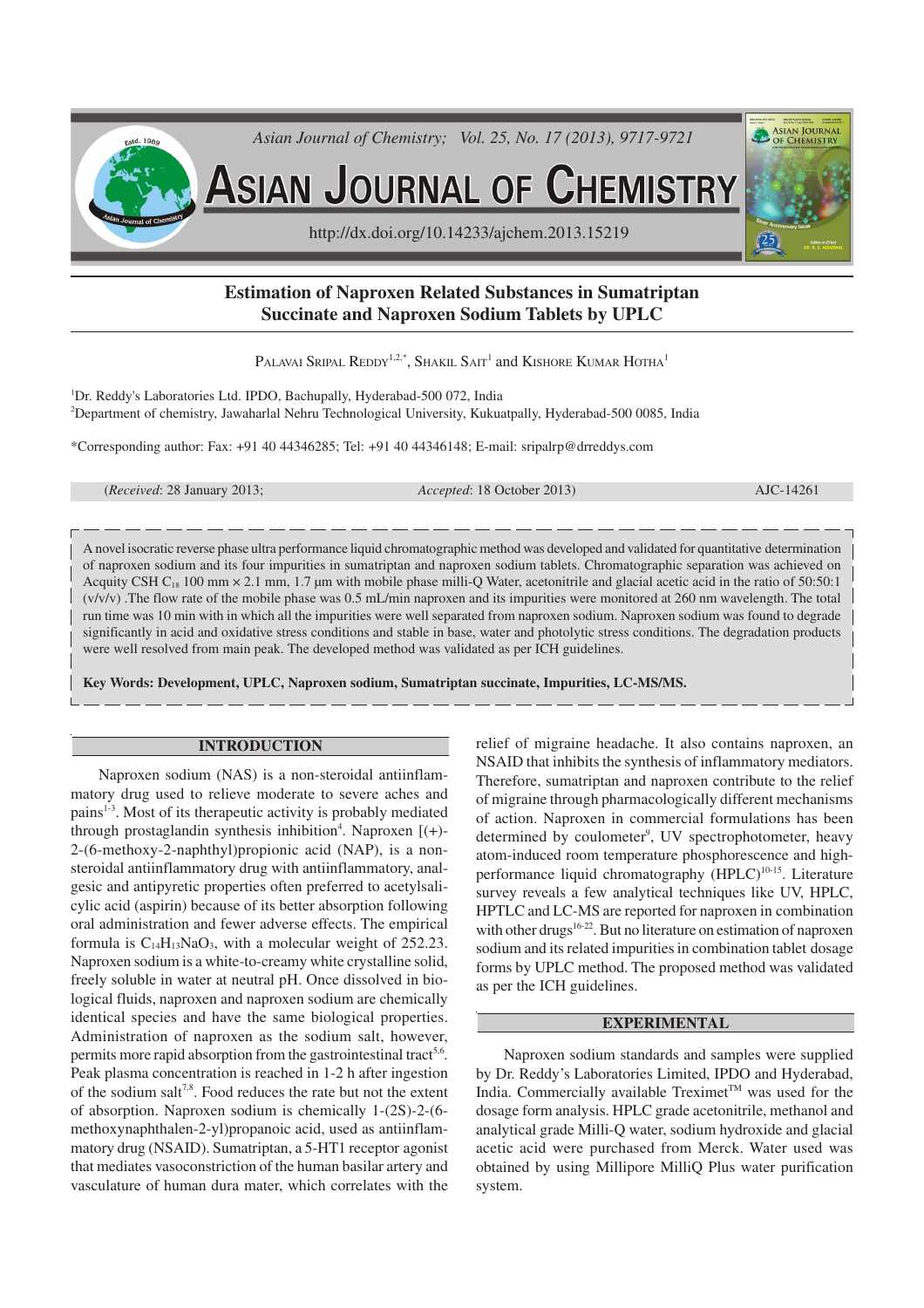

# **Estimation of Naproxen Related Substances in Sumatriptan Succinate and Naproxen Sodium Tablets by UPLC**

PALAVAI SRIPAL REDDY $^{1,2,*},$  Shakil Sait $^1$  and Kishore Kumar Hotha $^1$ 

<sup>1</sup>Dr. Reddy's Laboratories Ltd. IPDO, Bachupally, Hyderabad-500 072, India <sup>2</sup>Department of chemistry, Jawaharlal Nehru Technological University, Kukuatpally, Hyderabad-500 0085, India

\*Corresponding author: Fax: +91 40 44346285; Tel: +91 40 44346148; E-mail: sripalrp@drreddys.com

(*Received*: 28 January 2013; *Accepted*: 18 October 2013) AJC-14261

A novel isocratic reverse phase ultra performance liquid chromatographic method was developed and validated for quantitative determination of naproxen sodium and its four impurities in sumatriptan and naproxen sodium tablets. Chromatographic separation was achieved on Acquity CSH  $C_{18}$  100 mm  $\times$  2.1 mm, 1.7 µm with mobile phase milli-Q Water, acetonitrile and glacial acetic acid in the ratio of 50:50:1 (v/v/v) .The flow rate of the mobile phase was 0.5 mL/min naproxen and its impurities were monitored at 260 nm wavelength. The total run time was 10 min with in which all the impurities were well separated from naproxen sodium. Naproxen sodium was found to degrade significantly in acid and oxidative stress conditions and stable in base, water and photolytic stress conditions. The degradation products were well resolved from main peak. The developed method was validated as per ICH guidelines.

**Key Words: Development, UPLC, Naproxen sodium, Sumatriptan succinate, Impurities, LC-MS/MS.**

## **INTRODUCTION**

Naproxen sodium (NAS) is a non-steroidal antiinflammatory drug used to relieve moderate to severe aches and pains<sup>1-3</sup>. Most of its therapeutic activity is probably mediated through prostaglandin synthesis inhibition<sup>4</sup>. Naproxen [(+)-2-(6-methoxy-2-naphthyl)propionic acid (NAP), is a nonsteroidal antiinflammatory drug with antiinflammatory, analgesic and antipyretic properties often preferred to acetylsalicylic acid (aspirin) because of its better absorption following oral administration and fewer adverse effects. The empirical formula is  $C_{14}H_{13}NaO_3$ , with a molecular weight of 252.23. Naproxen sodium is a white-to-creamy white crystalline solid, freely soluble in water at neutral pH. Once dissolved in biological fluids, naproxen and naproxen sodium are chemically identical species and have the same biological properties. Administration of naproxen as the sodium salt, however, permits more rapid absorption from the gastrointestinal tract<sup>5,6</sup>. Peak plasma concentration is reached in 1-2 h after ingestion of the sodium salt<sup>7,8</sup>. Food reduces the rate but not the extent of absorption. Naproxen sodium is chemically 1-(2S)-2-(6 methoxynaphthalen-2-yl)propanoic acid, used as antiinflammatory drug (NSAID). Sumatriptan, a 5-HT1 receptor agonist that mediates vasoconstriction of the human basilar artery and vasculature of human dura mater, which correlates with the

relief of migraine headache. It also contains naproxen, an NSAID that inhibits the synthesis of inflammatory mediators. Therefore, sumatriptan and naproxen contribute to the relief of migraine through pharmacologically different mechanisms of action. Naproxen in commercial formulations has been determined by coulometer<sup>9</sup>, UV spectrophotometer, heavy atom-induced room temperature phosphorescence and highperformance liquid chromatography  $(HPLC)^{10-15}$ . Literature survey reveals a few analytical techniques like UV, HPLC, HPTLC and LC-MS are reported for naproxen in combination with other drugs<sup>16-22</sup>. But no literature on estimation of naproxen sodium and its related impurities in combination tablet dosage forms by UPLC method. The proposed method was validated as per the ICH guidelines.

## **EXPERIMENTAL**

Naproxen sodium standards and samples were supplied by Dr. Reddy's Laboratories Limited, IPDO and Hyderabad, India. Commercially available  $T$ reximet<sup>TM</sup> was used for the dosage form analysis. HPLC grade acetonitrile, methanol and analytical grade Milli-Q water, sodium hydroxide and glacial acetic acid were purchased from Merck. Water used was obtained by using Millipore MilliQ Plus water purification system.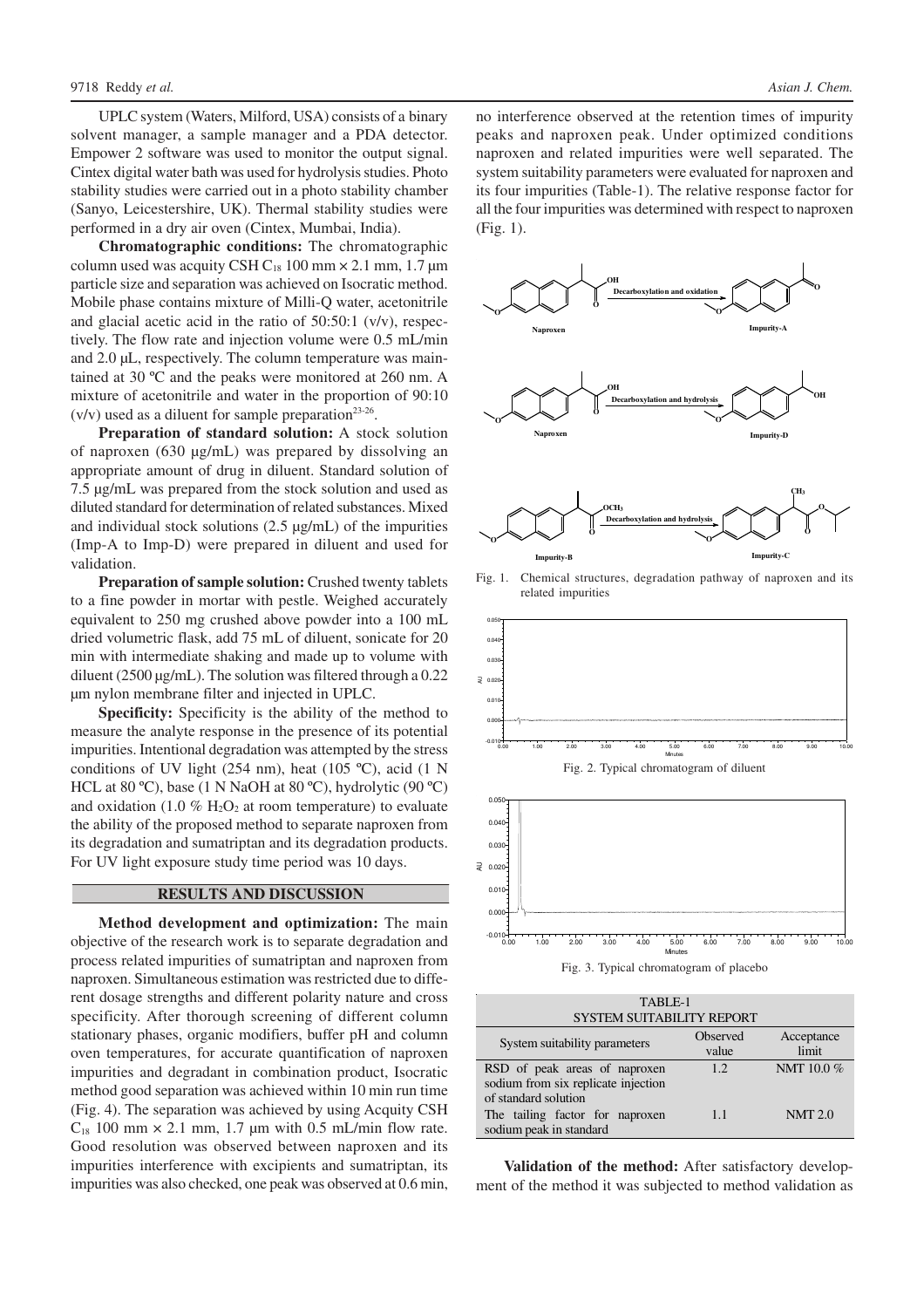UPLC system (Waters, Milford, USA) consists of a binary solvent manager, a sample manager and a PDA detector. Empower 2 software was used to monitor the output signal. Cintex digital water bath was used for hydrolysis studies. Photo stability studies were carried out in a photo stability chamber (Sanyo, Leicestershire, UK). Thermal stability studies were performed in a dry air oven (Cintex, Mumbai, India).

**Chromatographic conditions:** The chromatographic column used was acquity CSH  $C_{18}$  100 mm  $\times$  2.1 mm, 1.7 µm particle size and separation was achieved on Isocratic method. Mobile phase contains mixture of Milli-Q water, acetonitrile and glacial acetic acid in the ratio of 50:50:1 (v/v), respectively. The flow rate and injection volume were 0.5 mL/min and 2.0 µL, respectively. The column temperature was maintained at 30 ºC and the peaks were monitored at 260 nm. A mixture of acetonitrile and water in the proportion of 90:10  $(v/v)$  used as a diluent for sample preparation<sup>23-26</sup>.

**Preparation of standard solution:** A stock solution of naproxen (630 µg/mL) was prepared by dissolving an appropriate amount of drug in diluent. Standard solution of 7.5 µg/mL was prepared from the stock solution and used as diluted standard for determination of related substances. Mixed and individual stock solutions  $(2.5 \mu g/mL)$  of the impurities (Imp-A to Imp-D) were prepared in diluent and used for validation.

**Preparation of sample solution:** Crushed twenty tablets to a fine powder in mortar with pestle. Weighed accurately equivalent to 250 mg crushed above powder into a 100 mL dried volumetric flask, add 75 mL of diluent, sonicate for 20 min with intermediate shaking and made up to volume with diluent (2500 µg/mL). The solution was filtered through a 0.22 µm nylon membrane filter and injected in UPLC.

**Specificity:** Specificity is the ability of the method to measure the analyte response in the presence of its potential impurities. Intentional degradation was attempted by the stress conditions of UV light (254 nm), heat (105 ºC), acid (1 N HCL at 80 ºC), base (1 N NaOH at 80 ºC), hydrolytic (90 ºC) and oxidation (1.0  $\%$  H<sub>2</sub>O<sub>2</sub> at room temperature) to evaluate the ability of the proposed method to separate naproxen from its degradation and sumatriptan and its degradation products. For UV light exposure study time period was 10 days.

## **RESULTS AND DISCUSSION**

**Method development and optimization:** The main objective of the research work is to separate degradation and process related impurities of sumatriptan and naproxen from naproxen. Simultaneous estimation was restricted due to different dosage strengths and different polarity nature and cross specificity. After thorough screening of different column stationary phases, organic modifiers, buffer pH and column oven temperatures, for accurate quantification of naproxen impurities and degradant in combination product, Isocratic method good separation was achieved within 10 min run time (Fig. 4). The separation was achieved by using Acquity CSH  $C_{18}$  100 mm  $\times$  2.1 mm, 1.7 µm with 0.5 mL/min flow rate. Good resolution was observed between naproxen and its impurities interference with excipients and sumatriptan, its impurities was also checked, one peak was observed at 0.6 min,

no interference observed at the retention times of impurity peaks and naproxen peak. Under optimized conditions naproxen and related impurities were well separated. The system suitability parameters were evaluated for naproxen and its four impurities (Table-1). The relative response factor for all the four impurities was determined with respect to naproxen (Fig. 1).



Fig. 1. Chemical structures, degradation pathway of naproxen and its related impurities





Fig. 3. Typical chromatogram of placebo

| TABLE-1                                                                                      |                   |                     |  |  |  |  |  |
|----------------------------------------------------------------------------------------------|-------------------|---------------------|--|--|--|--|--|
| <b>SYSTEM SUITABILITY REPORT</b>                                                             |                   |                     |  |  |  |  |  |
| System suitability parameters                                                                | Observed<br>value | Acceptance<br>limit |  |  |  |  |  |
| RSD of peak areas of naproxen<br>sodium from six replicate injection<br>of standard solution | 1.2               | NMT 10.0%           |  |  |  |  |  |
| The tailing factor for naproxen<br>sodium peak in standard                                   | 1.1               | NMT 2.0             |  |  |  |  |  |

**Validation of the method:** After satisfactory development of the method it was subjected to method validation as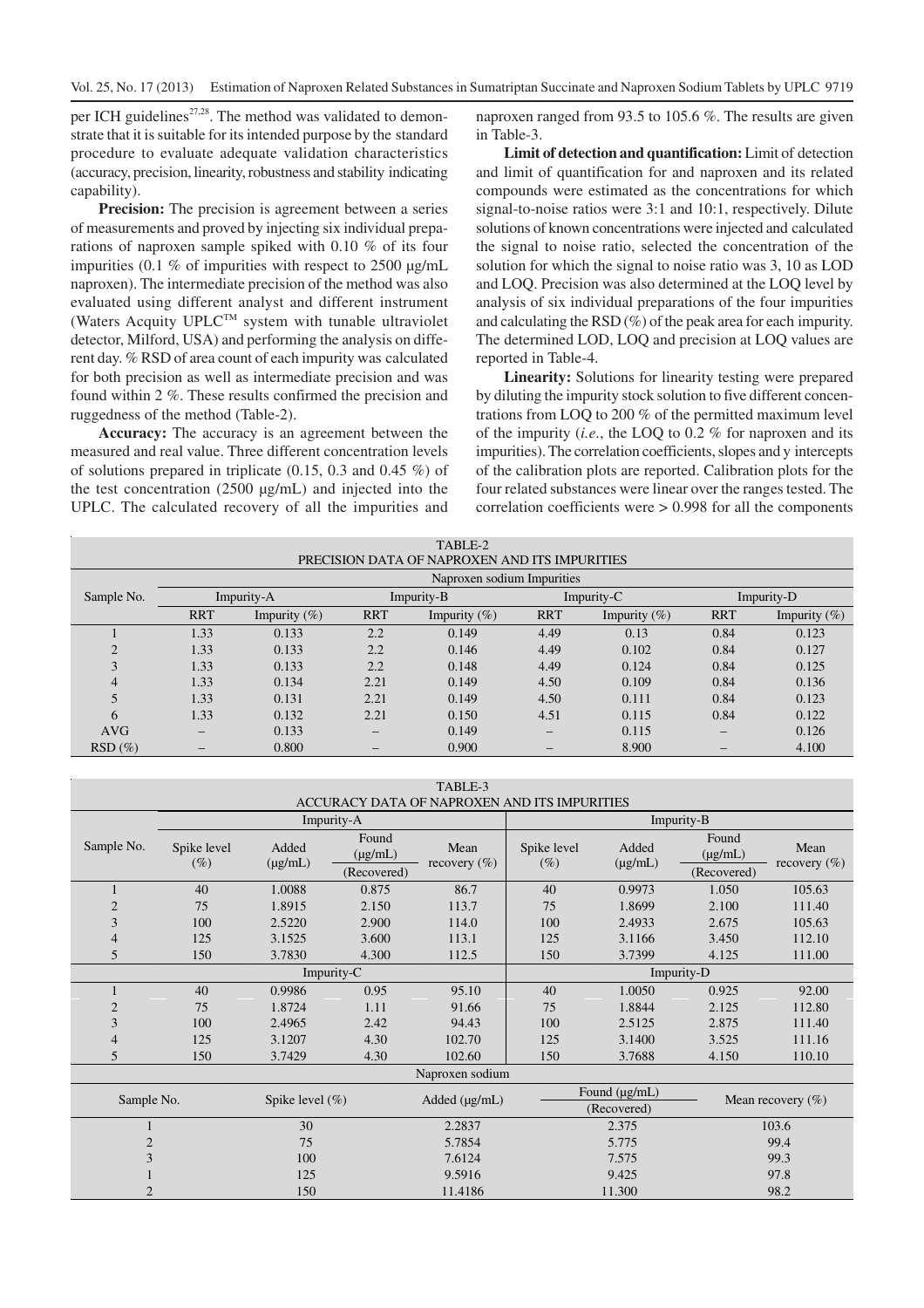per ICH guidelines<sup>27,28</sup>. The method was validated to demonstrate that it is suitable for its intended purpose by the standard procedure to evaluate adequate validation characteristics (accuracy, precision, linearity, robustness and stability indicating capability).

**Precision:** The precision is agreement between a series of measurements and proved by injecting six individual preparations of naproxen sample spiked with 0.10 % of its four impurities (0.1  $%$  of impurities with respect to 2500  $\mu$ g/mL naproxen). The intermediate precision of the method was also evaluated using different analyst and different instrument (Waters Acquity UPLCTM system with tunable ultraviolet detector, Milford, USA) and performing the analysis on different day. % RSD of area count of each impurity was calculated for both precision as well as intermediate precision and was found within 2 %. These results confirmed the precision and ruggedness of the method (Table-2).

**Accuracy:** The accuracy is an agreement between the measured and real value. Three different concentration levels of solutions prepared in triplicate  $(0.15, 0.3$  and  $0.45\%$ ) of the test concentration (2500 µg/mL) and injected into the UPLC. The calculated recovery of all the impurities and

naproxen ranged from 93.5 to 105.6 %. The results are given in Table-3.

**Limit of detection and quantification:** Limit of detection and limit of quantification for and naproxen and its related compounds were estimated as the concentrations for which signal-to-noise ratios were 3:1 and 10:1, respectively. Dilute solutions of known concentrations were injected and calculated the signal to noise ratio, selected the concentration of the solution for which the signal to noise ratio was 3, 10 as LOD and LOQ. Precision was also determined at the LOQ level by analysis of six individual preparations of the four impurities and calculating the RSD (%) of the peak area for each impurity. The determined LOD, LOQ and precision at LOQ values are reported in Table-4.

**Linearity:** Solutions for linearity testing were prepared by diluting the impurity stock solution to five different concentrations from LOQ to 200 % of the permitted maximum level of the impurity (*i.e*., the LOQ to 0.2 % for naproxen and its impurities). The correlation coefficients, slopes and y intercepts of the calibration plots are reported. Calibration plots for the four related substances were linear over the ranges tested. The correlation coefficients were > 0.998 for all the components

| TABLE-2                                       |                              |                 |                          |                 |            |                  |                   |                 |
|-----------------------------------------------|------------------------------|-----------------|--------------------------|-----------------|------------|------------------|-------------------|-----------------|
| PRECISION DATA OF NAPROXEN AND ITS IMPURITIES |                              |                 |                          |                 |            |                  |                   |                 |
|                                               | Naproxen sodium Impurities   |                 |                          |                 |            |                  |                   |                 |
| Sample No.                                    | Impurity-A                   |                 | Impurity-B               |                 | Impurity-C |                  | Impurity-D        |                 |
|                                               | <b>RRT</b>                   | Impurity $(\%)$ | <b>RRT</b>               | Impurity $(\%)$ | <b>RRT</b> | Impurity $(\% )$ | <b>RRT</b>        | Impurity $(\%)$ |
|                                               | 1.33                         | 0.133           | 2.2                      | 0.149           | 4.49       | 0.13             | 0.84              | 0.123           |
| ◠                                             | 1.33                         | 0.133           | 2.2                      | 0.146           | 4.49       | 0.102            | 0.84              | 0.127           |
| 3                                             | 1.33                         | 0.133           | 2.2                      | 0.148           | 4.49       | 0.124            | 0.84              | 0.125           |
| 4                                             | 1.33                         | 0.134           | 2.21                     | 0.149           | 4.50       | 0.109            | 0.84              | 0.136           |
| 5                                             | 1.33                         | 0.131           | 2.21                     | 0.149           | 4.50       | 0.111            | 0.84              | 0.123           |
| 6                                             | 1.33                         | 0.132           | 2.21                     | 0.150           | 4.51       | 0.115            | 0.84              | 0.122           |
| <b>AVG</b>                                    | $\qquad \qquad \blacksquare$ | 0.133           | $\overline{\phantom{0}}$ | 0.149           | –          | 0.115            | $\qquad \qquad -$ | 0.126           |
| $RSD(\%)$                                     | -                            | 0.800           |                          | 0.900           |            | 8.900            |                   | 4.100           |

| TABLE-3                                      |                       |                       |                                                      |                      |                       |                       |                                      |                          |
|----------------------------------------------|-----------------------|-----------------------|------------------------------------------------------|----------------------|-----------------------|-----------------------|--------------------------------------|--------------------------|
| ACCURACY DATA OF NAPROXEN AND ITS IMPURITIES |                       |                       |                                                      |                      |                       |                       |                                      |                          |
|                                              | Impurity-A            |                       |                                                      | Impurity-B           |                       |                       |                                      |                          |
| Sample No.                                   | Spike level<br>$(\%)$ | Added<br>$(\mu g/mL)$ | Found<br>$(\mu g/mL)$<br>(Recovered)                 | Mean<br>recovery (%) | Spike level<br>$(\%)$ | Added<br>$(\mu g/mL)$ | Found<br>$(\mu g/mL)$<br>(Recovered) | Mean<br>recovery $(\% )$ |
| 1                                            | 40                    | 1.0088                | 0.875                                                | 86.7                 | 40                    | 0.9973                | 1.050                                | 105.63                   |
| $\overline{c}$                               | 75                    | 1.8915                | 2.150                                                | 113.7                | 75                    | 1.8699                | 2.100                                | 111.40                   |
| 3                                            | 100                   | 2.5220                | 2.900                                                | 114.0                | 100                   | 2.4933                | 2.675                                | 105.63                   |
| $\overline{4}$                               | 125                   | 3.1525                | 3.600                                                | 113.1                | 125                   | 3.1166                | 3.450                                | 112.10                   |
| 5                                            | 150                   | 3.7830                | 4.300                                                | 112.5                | 150                   | 3.7399                | 4.125                                | 111.00                   |
| Impurity-C                                   |                       |                       | Impurity-D                                           |                      |                       |                       |                                      |                          |
| 1                                            | 40                    | 0.9986                | 0.95                                                 | 95.10                | 40                    | 1.0050                | 0.925                                | 92.00                    |
| $\overline{2}$                               | 75                    | 1.8724                | 1.11                                                 | 91.66                | 75                    | 1.8844                | 2.125                                | 112.80                   |
| 3                                            | 100                   | 2.4965                | 2.42                                                 | 94.43                | 100                   | 2.5125                | 2.875                                | 111.40                   |
| $\overline{4}$                               | 125                   | 3.1207                | 4.30                                                 | 102.70               | 125                   | 3.1400                | 3.525                                | 111.16                   |
| 5                                            | 150                   | 3.7429                | 4.30                                                 | 102.60               | 150                   | 3.7688                | 4.150                                | 110.10                   |
| Naproxen sodium                              |                       |                       |                                                      |                      |                       |                       |                                      |                          |
| Sample No.<br>Spike level $(\% )$            |                       | Added $(\mu g/mL)$    | Found (µg/mL)<br>Mean recovery $(\%)$<br>(Recovered) |                      |                       |                       |                                      |                          |
|                                              | 2.2837<br>30          |                       | 2.375                                                |                      |                       | 103.6                 |                                      |                          |
| $\overline{2}$                               |                       | 75                    |                                                      | 5.7854               |                       | 5.775                 |                                      | 99.4                     |
| 3                                            |                       | 100                   |                                                      | 7.6124               |                       | 7.575                 |                                      | 99.3                     |
|                                              |                       | 125                   |                                                      | 9.5916               |                       | 9.425                 |                                      | 97.8                     |
| $\overline{2}$                               |                       | 150                   |                                                      | 11.4186              |                       | 11.300                |                                      | 98.2                     |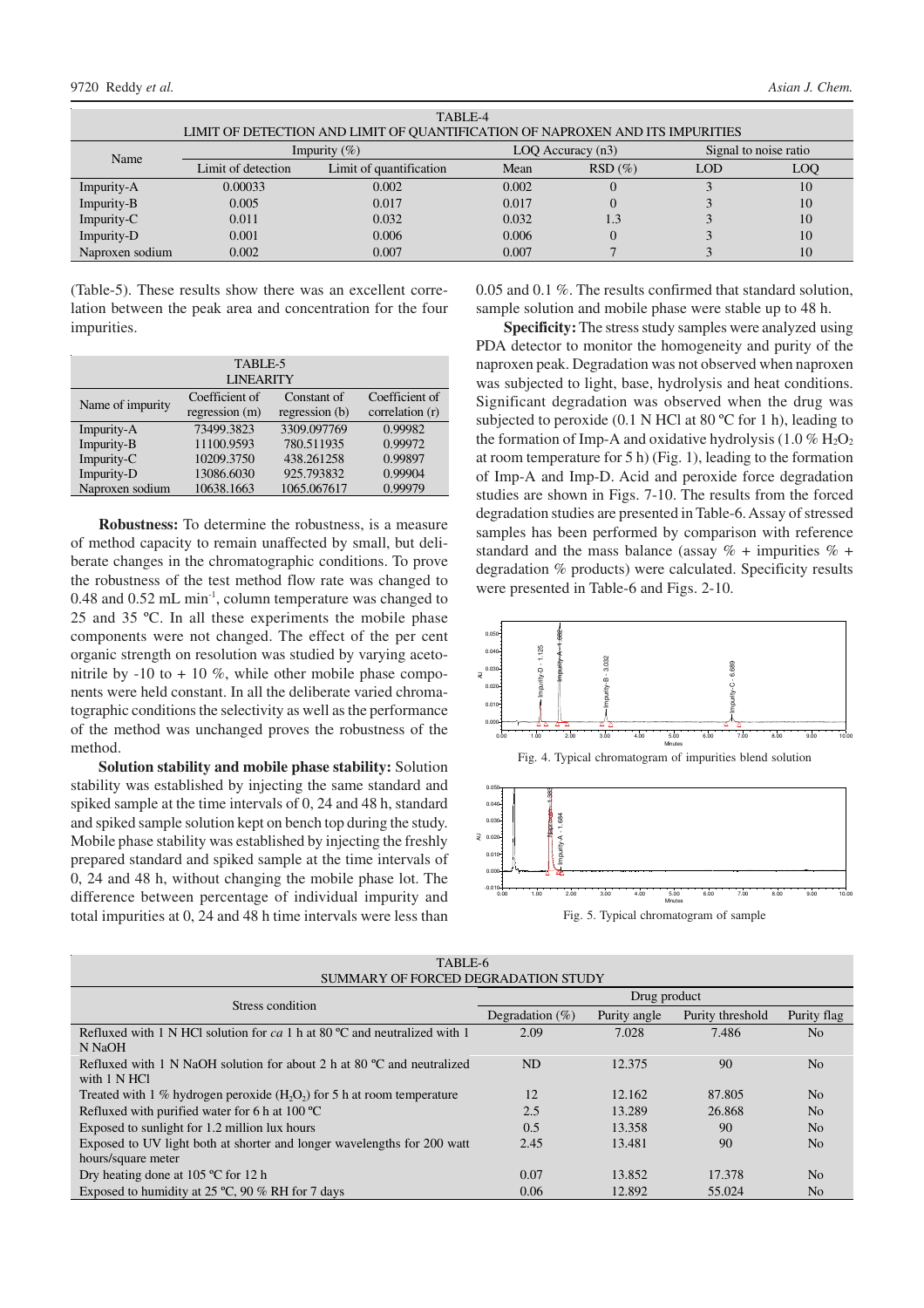| TABLE-4                                                                       |                    |                         |                       |                       |            |     |  |  |
|-------------------------------------------------------------------------------|--------------------|-------------------------|-----------------------|-----------------------|------------|-----|--|--|
| LIMIT OF DETECTION AND LIMIT OF QUANTIFICATION OF NAPROXEN AND ITS IMPURITIES |                    |                         |                       |                       |            |     |  |  |
| Name                                                                          | Impurity $(\% )$   |                         | $LOQ$ Accuracy $(n3)$ | Signal to noise ratio |            |     |  |  |
|                                                                               | Limit of detection | Limit of quantification | Mean                  | $RSD(\%)$             | <b>LOD</b> | LOQ |  |  |
| Impurity-A                                                                    | 0.00033            | 0.002                   | 0.002                 |                       |            | 10  |  |  |
| Impurity-B                                                                    | 0.005              | 0.017                   | 0.017                 |                       |            | 10  |  |  |
| Impurity-C                                                                    | 0.011              | 0.032                   | 0.032                 | 1.3                   |            | 10  |  |  |
| Impurity-D                                                                    | 0.001              | 0.006                   | 0.006                 |                       |            | 10  |  |  |
| Naproxen sodium                                                               | 0.002              | 0.007                   | 0.007                 |                       |            | 10  |  |  |

(Table-5). These results show there was an excellent correlation between the peak area and concentration for the four impurities.

| TABLE-5<br><b>LINEARITY</b> |                                    |                               |                                   |  |  |  |
|-----------------------------|------------------------------------|-------------------------------|-----------------------------------|--|--|--|
| Name of impurity            | Coefficient of<br>regression $(m)$ | Constant of<br>regression (b) | Coefficient of<br>correlation (r) |  |  |  |
| Impurity-A                  | 73499.3823                         | 3309.097769                   | 0.99982                           |  |  |  |
| Impurity-B                  | 11100.9593                         | 780.511935                    | 0.99972                           |  |  |  |
| Impurity-C                  | 10209.3750                         | 438.261258                    | 0.99897                           |  |  |  |
| Impurity-D                  | 13086.6030                         | 925.793832                    | 0.99904                           |  |  |  |
| Naproxen sodium             | 10638.1663                         | 1065.067617                   | 0.99979                           |  |  |  |

**Robustness:** To determine the robustness, is a measure of method capacity to remain unaffected by small, but deliberate changes in the chromatographic conditions. To prove the robustness of the test method flow rate was changed to 0.48 and 0.52 mL min-1 , column temperature was changed to 25 and 35 ºC. In all these experiments the mobile phase components were not changed. The effect of the per cent organic strength on resolution was studied by varying acetonitrile by  $-10$  to  $+10\%$ , while other mobile phase components were held constant. In all the deliberate varied chromatographic conditions the selectivity as well as the performance of the method was unchanged proves the robustness of the method.

**Solution stability and mobile phase stability:** Solution stability was established by injecting the same standard and spiked sample at the time intervals of 0, 24 and 48 h, standard and spiked sample solution kept on bench top during the study. Mobile phase stability was established by injecting the freshly prepared standard and spiked sample at the time intervals of 0, 24 and 48 h, without changing the mobile phase lot. The difference between percentage of individual impurity and total impurities at 0, 24 and 48 h time intervals were less than

0.05 and 0.1 %. The results confirmed that standard solution, sample solution and mobile phase were stable up to 48 h.

**Specificity:** The stress study samples were analyzed using PDA detector to monitor the homogeneity and purity of the naproxen peak. Degradation was not observed when naproxen was subjected to light, base, hydrolysis and heat conditions. Significant degradation was observed when the drug was subjected to peroxide (0.1 N HCl at 80 °C for 1 h), leading to the formation of Imp-A and oxidative hydrolysis (1.0  $\%$  H<sub>2</sub>O<sub>2</sub> at room temperature for 5 h) (Fig. 1), leading to the formation of Imp-A and Imp-D. Acid and peroxide force degradation studies are shown in Figs. 7-10. The results from the forced degradation studies are presented in Table-6. Assay of stressed samples has been performed by comparison with reference standard and the mass balance (assay  $\%$  + impurities  $\%$  + degradation % products) were calculated. Specificity results were presented in Table-6 and Figs. 2-10.



Fig. 5. Typical chromatogram of sample

| TABLE-6<br>SUMMARY OF FORCED DEGRADATION STUDY                                                     |                    |              |                  |                |  |  |  |
|----------------------------------------------------------------------------------------------------|--------------------|--------------|------------------|----------------|--|--|--|
| Stress condition                                                                                   | Drug product       |              |                  |                |  |  |  |
|                                                                                                    | Degradation $(\%)$ | Purity angle | Purity threshold | Purity flag    |  |  |  |
| Refluxed with 1 N HCl solution for $ca$ 1 h at 80 °C and neutralized with 1<br>N NaOH              | 2.09               | 7.028        | 7.486            | N <sub>o</sub> |  |  |  |
| Refluxed with 1 N NaOH solution for about 2 h at 80 $^{\circ}$ C and neutralized<br>with $1 N HCl$ | ND                 | 12.375       | 90               | N <sub>0</sub> |  |  |  |
| Treated with 1 % hydrogen peroxide $(H2O2)$ for 5 h at room temperature                            | 12                 | 12.162       | 87.805           | N <sub>0</sub> |  |  |  |
| Refluxed with purified water for 6 h at 100 $^{\circ}$ C                                           | 2.5                | 13.289       | 26.868           | N <sub>0</sub> |  |  |  |
| Exposed to sunlight for 1.2 million lux hours                                                      | 0.5                | 13.358       | 90               | N <sub>0</sub> |  |  |  |
| Exposed to UV light both at shorter and longer wavelengths for 200 watt                            | 2.45               | 13.481       | 90               | N <sub>0</sub> |  |  |  |
| hours/square meter                                                                                 |                    |              |                  |                |  |  |  |
| Dry heating done at $105^{\circ}$ C for 12 h                                                       | 0.07               | 13.852       | 17.378           | N <sub>o</sub> |  |  |  |
| Exposed to humidity at 25 $°C$ , 90 % RH for 7 days                                                | 0.06               | 12.892       | 55.024           | N <sub>0</sub> |  |  |  |